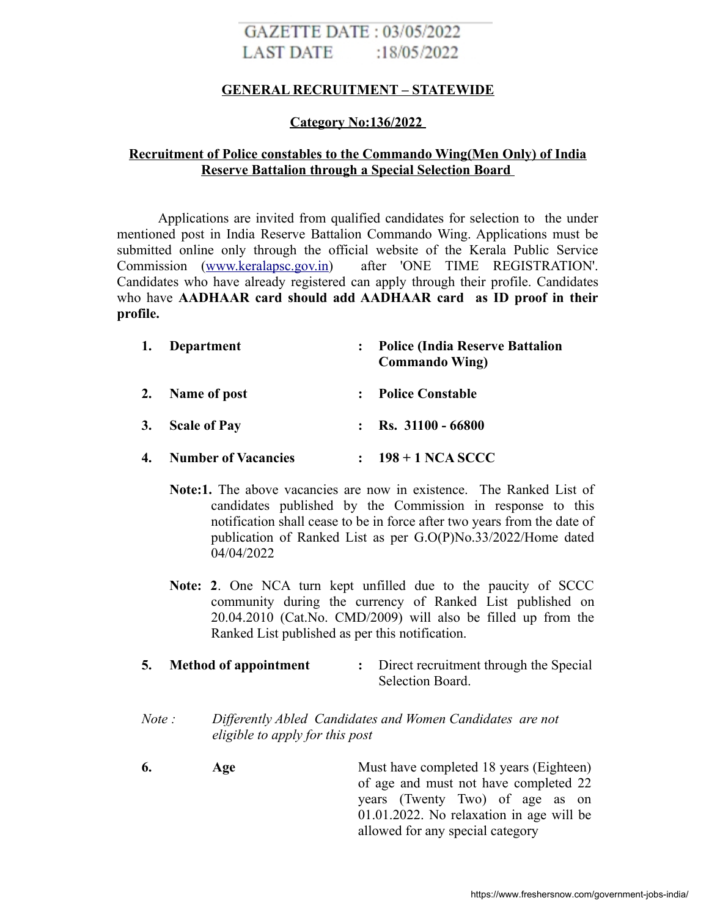# GAZETTE DATE: 03/05/2022 LAST DATE :18/05/2022

## **GENERAL RECRUITMENT – STATEWIDE**

## **Category No:136/2022**

# **Recruitment of Police constables to the Commando Wing(Men Only) of India Reserve Battalion through a Special Selection Board**

Applications are invited from qualified candidates for selection to the under mentioned post in India Reserve Battalion Commando Wing. Applications must be submitted online only through the official website of the Kerala Public Service Commission [\(www.keralapsc.gov.in\)](http://www.keralapsc.gov.in/) after 'ONE TIME REGISTRATION'. Candidates who have already registered can apply through their profile. Candidates who have **AADHAAR card should add AADHAAR card as ID proof in their profile.**

| 1. | Department                 | <b>Police (India Reserve Battalion</b><br><b>Commando Wing</b> ) |
|----|----------------------------|------------------------------------------------------------------|
| 2. | Name of post               | <b>Police Constable</b>                                          |
| 3. | <b>Scale of Pay</b>        | $\therefore$ Rs. 31100 - 66800                                   |
| 4. | <b>Number of Vacancies</b> | $198 + 1$ NCA SCCC                                               |

- **Note:1.** The above vacancies are now in existence. The Ranked List of candidates published by the Commission in response to this notification shall cease to be in force after two years from the date of publication of Ranked List as per G.O(P)No.33/2022/Home dated 04/04/2022
- **Note: 2**. One NCA turn kept unfilled due to the paucity of SCCC community during the currency of Ranked List published on 20.04.2010 (Cat.No. CMD/2009) will also be filled up from the Ranked List published as per this notification.
- **5. Method of appointment :** Direct recruitment through the Special Selection Board.
- *Note : Differently Abled Candidates and Women Candidates are not eligible to apply for this post*
- **6. Age** Must have completed 18 years (Eighteen) of age and must not have completed 22 years (Twenty Two) of age as on 01.01.2022. No relaxation in age will be allowed for any special category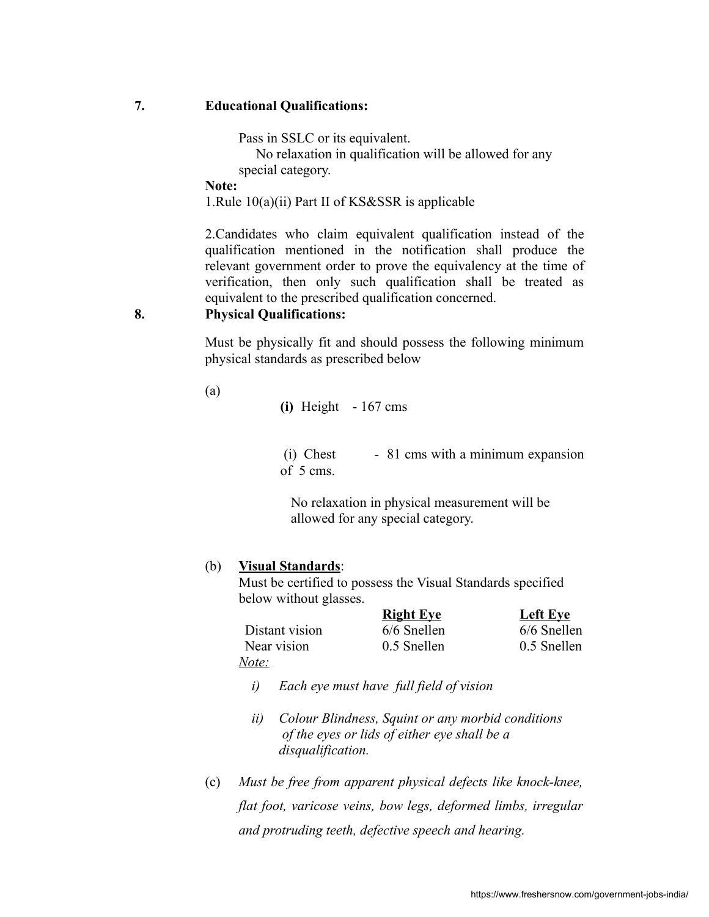## **7. Educational Qualifications:**

Pass in SSLC or its equivalent.

 No relaxation in qualification will be allowed for any special category.

**Note:**

1.Rule 10(a)(ii) Part II of KS&SSR is applicable

2.Candidates who claim equivalent qualification instead of the qualification mentioned in the notification shall produce the relevant government order to prove the equivalency at the time of verification, then only such qualification shall be treated as equivalent to the prescribed qualification concerned.

## **8. Physical Qualifications:**

Must be physically fit and should possess the following minimum physical standards as prescribed below

(a)

**(i)** Height - 167 cms

 $(i)$  Chest - 81 cms with a minimum expansion of 5 cms.

 No relaxation in physical measurement will be allowed for any special category.

## (b) **Visual Standards**:

Must be certified to possess the Visual Standards specified below without glasses.

|                | <b>Right Eye</b> | <b>Left Eye</b> |
|----------------|------------------|-----------------|
| Distant vision | $6/6$ Snellen    | $6/6$ Snellen   |
| Near vision    | 0.5 Snellen      | 0.5 Snellen     |
| <u>Note:</u>   |                  |                 |

- *i) Each eye must have full field of vision*
- *ii) Colour Blindness, Squint or any morbid conditions of the eyes or lids of either eye shall be a disqualification.*
- (c) *Must be free from apparent physical defects like knock-knee, flat foot, varicose veins, bow legs, deformed limbs, irregular and protruding teeth, defective speech and hearing.*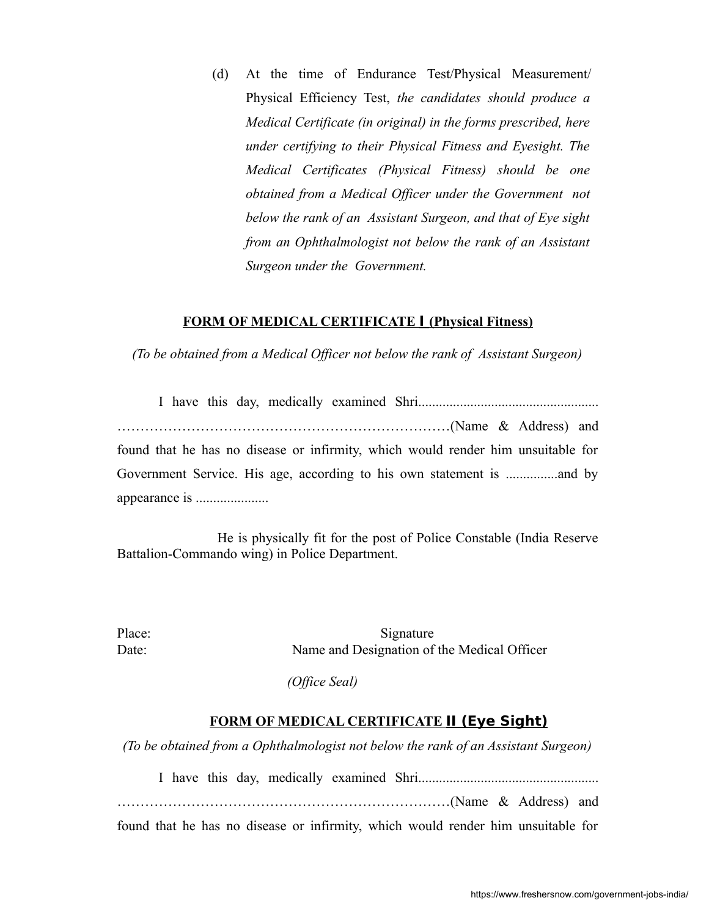(d) At the time of Endurance Test/Physical Measurement/ Physical Efficiency Test, *the candidates should produce a Medical Certificate (in original) in the forms prescribed, here under certifying to their Physical Fitness and Eyesight. The Medical Certificates (Physical Fitness) should be one obtained from a Medical Officer under the Government not below the rank of an Assistant Surgeon, and that of Eye sight from an Ophthalmologist not below the rank of an Assistant Surgeon under the Government.*

#### **FORM OF MEDICAL CERTIFICATE I(Physical Fitness)**

*(To be obtained from a Medical Officer not below the rank of Assistant Surgeon)*

I have this day, medically examined Shri.................................................... ………………………………………………………………(Name & Address) and found that he has no disease or infirmity, which would render him unsuitable for Government Service. His age, according to his own statement is ...............and by appearance is .....................

 He is physically fit for the post of Police Constable (India Reserve Battalion-Commando wing) in Police Department.

Place: Signature Date: Name and Designation of the Medical Officer

 *(Office Seal)*

#### **FORM OF MEDICAL CERTIFICATE II (Eye Sight)**

*(To be obtained from a Ophthalmologist not below the rank of an Assistant Surgeon)*

I have this day, medically examined Shri....................................................

………………………………………………………………(Name & Address) and found that he has no disease or infirmity, which would render him unsuitable for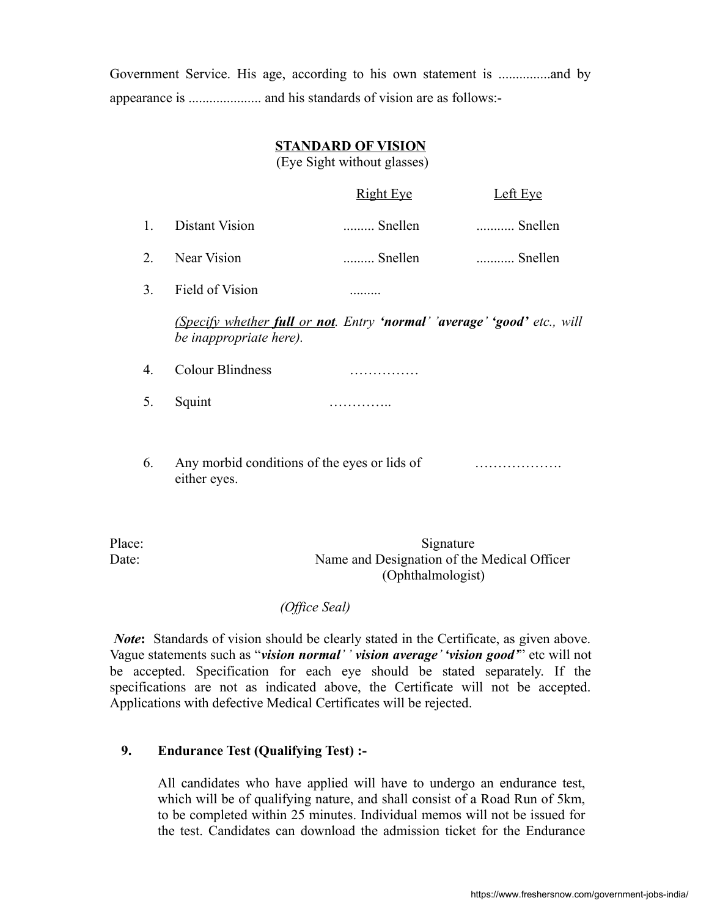Government Service. His age, according to his own statement is ...............and by appearance is ..................... and his standards of vision are as follows:-

## **STANDARD OF VISION**

(Eye Sight without glasses)

|    |                                                                                                     | <b>Right Eye</b> | Left Eye |
|----|-----------------------------------------------------------------------------------------------------|------------------|----------|
| 1. | Distant Vision                                                                                      | Snellen          | Snellen  |
| 2. | Near Vision                                                                                         | Snellen          | Snellen  |
| 3. | Field of Vision                                                                                     | .                |          |
|    | (Specify whether full or not. Entry 'normal' 'average' 'good' etc., will<br>be inappropriate here). |                  |          |
| 4. | Colour Blindness                                                                                    |                  |          |
| 5. | Squint                                                                                              |                  |          |
|    |                                                                                                     |                  |          |
| 6. | Any morbid conditions of the eyes or lids of<br>either eyes.                                        |                  |          |

Place: Signature Date: Name and Designation of the Medical Officer (Ophthalmologist)

#### *(Office Seal)*

*Note***:** Standards of vision should be clearly stated in the Certificate, as given above. Vague statements such as "*vision normal' ' vision average' 'vision good'*" etc will not be accepted. Specification for each eye should be stated separately. If the specifications are not as indicated above, the Certificate will not be accepted. Applications with defective Medical Certificates will be rejected.

## **9. Endurance Test (Qualifying Test) :-**

All candidates who have applied will have to undergo an endurance test, which will be of qualifying nature, and shall consist of a Road Run of 5km, to be completed within 25 minutes. Individual memos will not be issued for the test. Candidates can download the admission ticket for the Endurance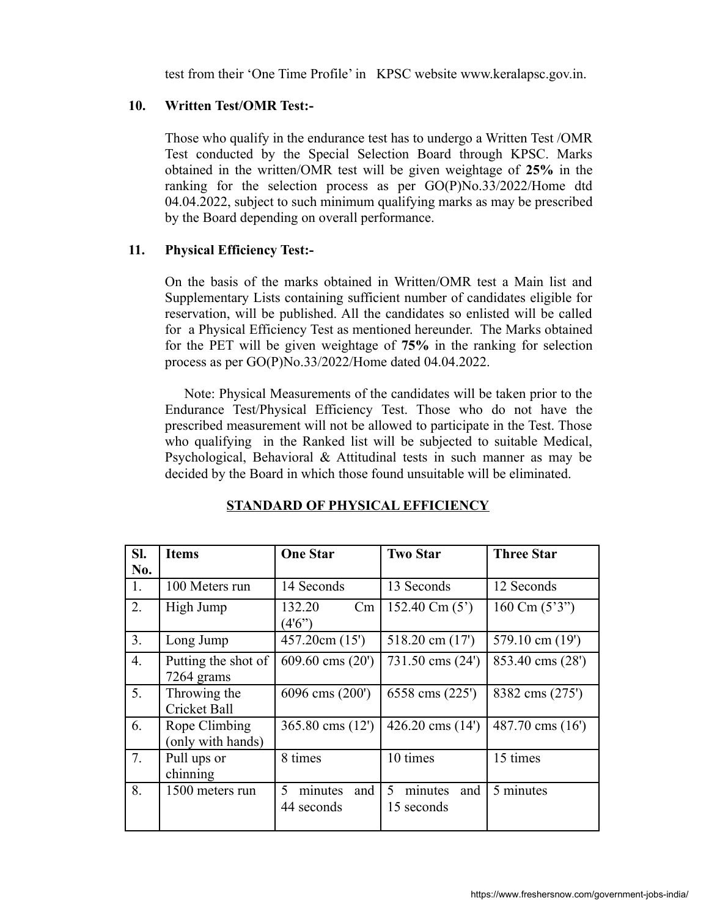test from their 'One Time Profile' in KPSC website www.keralapsc.gov.in.

## **10. Written Test/OMR Test:-**

Those who qualify in the endurance test has to undergo a Written Test /OMR Test conducted by the Special Selection Board through KPSC. Marks obtained in the written/OMR test will be given weightage of **25%** in the ranking for the selection process as per GO(P)No.33/2022/Home dtd 04.04.2022, subject to such minimum qualifying marks as may be prescribed by the Board depending on overall performance.

#### **11. Physical Efficiency Test:-**

On the basis of the marks obtained in Written/OMR test a Main list and Supplementary Lists containing sufficient number of candidates eligible for reservation, will be published. All the candidates so enlisted will be called for a Physical Efficiency Test as mentioned hereunder. The Marks obtained for the PET will be given weightage of **75%** in the ranking for selection process as per GO(P)No.33/2022/Home dated 04.04.2022.

 Note: Physical Measurements of the candidates will be taken prior to the Endurance Test/Physical Efficiency Test. Those who do not have the prescribed measurement will not be allowed to participate in the Test. Those who qualifying in the Ranked list will be subjected to suitable Medical, Psychological, Behavioral & Attitudinal tests in such manner as may be decided by the Board in which those found unsuitable will be eliminated.

| SI. | <b>Items</b>                        | <b>One Star</b>                   | <b>Two Star</b>                   | <b>Three Star</b> |
|-----|-------------------------------------|-----------------------------------|-----------------------------------|-------------------|
| No. |                                     |                                   |                                   |                   |
| 1.  | 100 Meters run                      | 14 Seconds                        | 13 Seconds                        | 12 Seconds        |
| 2.  | High Jump                           | Cm<br>132.20<br>(4'6'')           | 152.40 Cm $(5')$                  | 160 Cm $(5'3'')$  |
| 3.  | Long Jump                           | 457.20cm (15')                    | 518.20 cm $(17)$                  | 579.10 cm (19')   |
| 4.  | Putting the shot of<br>7264 grams   | 609.60 cms $(20')$                | 731.50 cms (24')                  | 853.40 cms (28')  |
| 5.  | Throwing the<br><b>Cricket Ball</b> | 6096 cms (200')                   | 6558 cms $(225')$                 | 8382 cms (275')   |
| 6.  | Rope Climbing<br>(only with hands)  | 365.80 cms (12')                  | 426.20 cms $(14')$                | 487.70 cms (16')  |
| 7.  | Pull ups or<br>chinning             | 8 times                           | 10 times                          | 15 times          |
| 8.  | 1500 meters run                     | 5<br>and<br>minutes<br>44 seconds | 5<br>minutes<br>and<br>15 seconds | 5 minutes         |

#### **STANDARD OF PHYSICAL EFFICIENCY**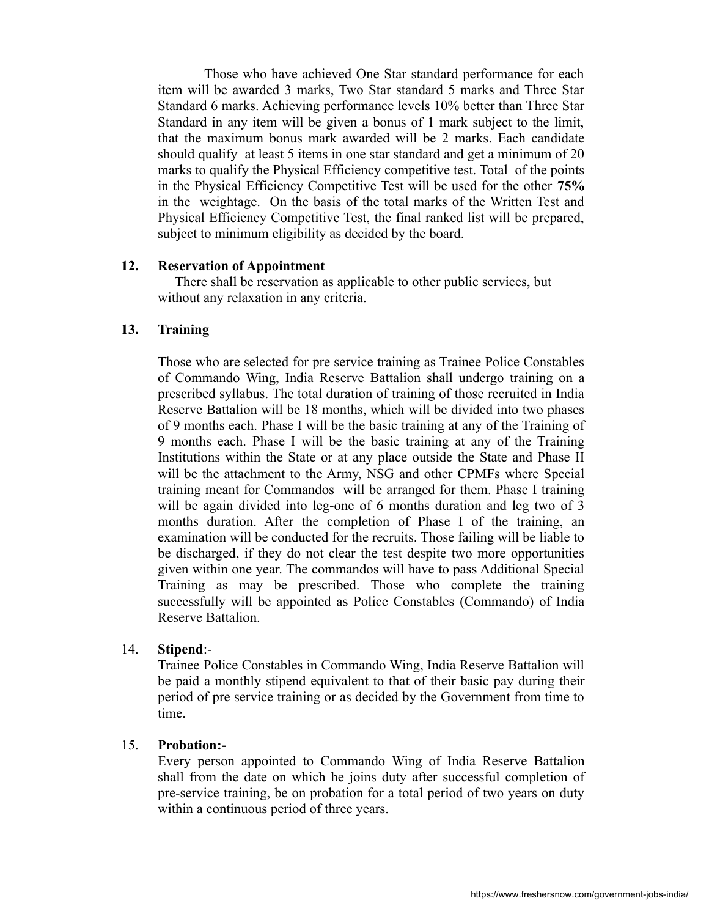Those who have achieved One Star standard performance for each item will be awarded 3 marks, Two Star standard 5 marks and Three Star Standard 6 marks. Achieving performance levels 10% better than Three Star Standard in any item will be given a bonus of 1 mark subject to the limit, that the maximum bonus mark awarded will be 2 marks. Each candidate should qualify at least 5 items in one star standard and get a minimum of 20 marks to qualify the Physical Efficiency competitive test. Total of the points in the Physical Efficiency Competitive Test will be used for the other **75%** in the weightage. On the basis of the total marks of the Written Test and Physical Efficiency Competitive Test, the final ranked list will be prepared, subject to minimum eligibility as decided by the board.

#### **12. Reservation of Appointment**

 There shall be reservation as applicable to other public services, but without any relaxation in any criteria.

## **13. Training**

Those who are selected for pre service training as Trainee Police Constables of Commando Wing, India Reserve Battalion shall undergo training on a prescribed syllabus. The total duration of training of those recruited in India Reserve Battalion will be 18 months, which will be divided into two phases of 9 months each. Phase I will be the basic training at any of the Training of 9 months each. Phase I will be the basic training at any of the Training Institutions within the State or at any place outside the State and Phase II will be the attachment to the Army, NSG and other CPMFs where Special training meant for Commandos will be arranged for them. Phase I training will be again divided into leg-one of 6 months duration and leg two of 3 months duration. After the completion of Phase I of the training, an examination will be conducted for the recruits. Those failing will be liable to be discharged, if they do not clear the test despite two more opportunities given within one year. The commandos will have to pass Additional Special Training as may be prescribed. Those who complete the training successfully will be appointed as Police Constables (Commando) of India Reserve Battalion.

## 14. **Stipend**:-

Trainee Police Constables in Commando Wing, India Reserve Battalion will be paid a monthly stipend equivalent to that of their basic pay during their period of pre service training or as decided by the Government from time to time.

## 15. **Probation:-**

Every person appointed to Commando Wing of India Reserve Battalion shall from the date on which he joins duty after successful completion of pre-service training, be on probation for a total period of two years on duty within a continuous period of three years.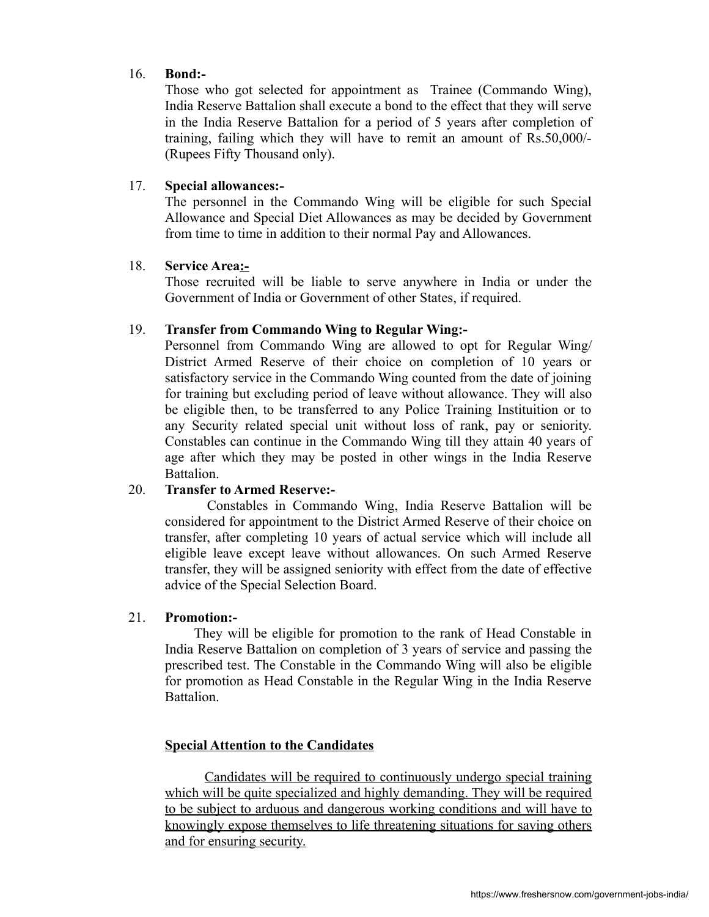## 16. **Bond:-**

Those who got selected for appointment as Trainee (Commando Wing), India Reserve Battalion shall execute a bond to the effect that they will serve in the India Reserve Battalion for a period of 5 years after completion of training, failing which they will have to remit an amount of Rs.50,000/- (Rupees Fifty Thousand only).

## 17. **Special allowances:-**

The personnel in the Commando Wing will be eligible for such Special Allowance and Special Diet Allowances as may be decided by Government from time to time in addition to their normal Pay and Allowances.

## 18. **Service Area:-**

Those recruited will be liable to serve anywhere in India or under the Government of India or Government of other States, if required.

## 19. **Transfer from Commando Wing to Regular Wing:-**

Personnel from Commando Wing are allowed to opt for Regular Wing/ District Armed Reserve of their choice on completion of 10 years or satisfactory service in the Commando Wing counted from the date of joining for training but excluding period of leave without allowance. They will also be eligible then, to be transferred to any Police Training Instituition or to any Security related special unit without loss of rank, pay or seniority. Constables can continue in the Commando Wing till they attain 40 years of age after which they may be posted in other wings in the India Reserve Battalion.

# 20. **Transfer to Armed Reserve:-**

Constables in Commando Wing, India Reserve Battalion will be considered for appointment to the District Armed Reserve of their choice on transfer, after completing 10 years of actual service which will include all eligible leave except leave without allowances. On such Armed Reserve transfer, they will be assigned seniority with effect from the date of effective advice of the Special Selection Board.

## 21. **Promotion:-**

 They will be eligible for promotion to the rank of Head Constable in India Reserve Battalion on completion of 3 years of service and passing the prescribed test. The Constable in the Commando Wing will also be eligible for promotion as Head Constable in the Regular Wing in the India Reserve **Battalion** 

# **Special Attention to the Candidates**

 Candidates will be required to continuously undergo special training which will be quite specialized and highly demanding. They will be required to be subject to arduous and dangerous working conditions and will have to knowingly expose themselves to life threatening situations for saving others and for ensuring security.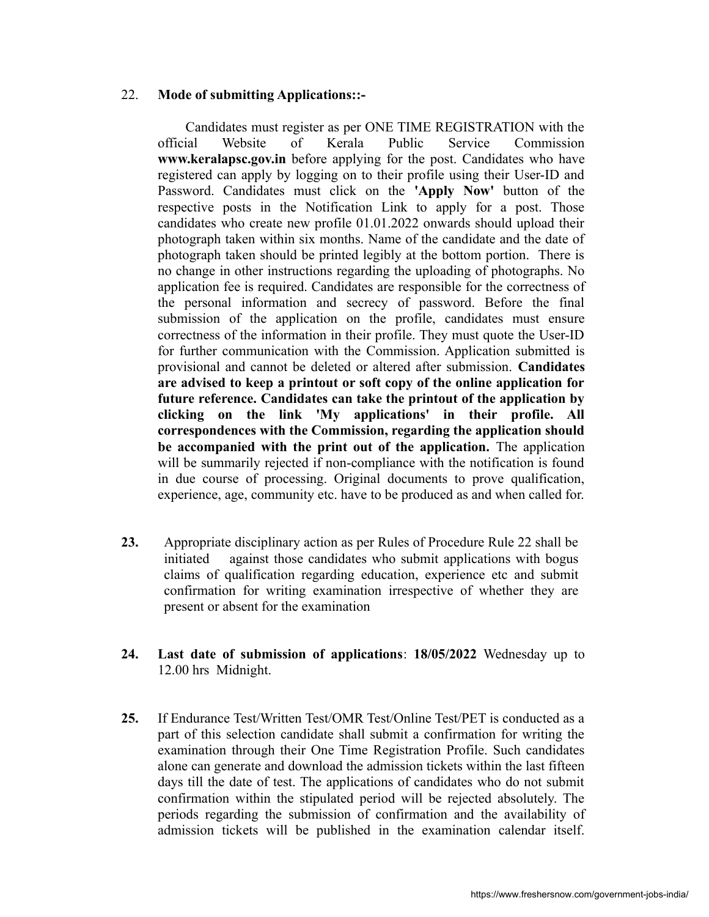## 22. **Mode of submitting Applications::-**

 Candidates must register as per ONE TIME REGISTRATION with the official Website of Kerala Public Service Commission **www.keralapsc.gov.in** before applying for the post. Candidates who have registered can apply by logging on to their profile using their User-ID and Password. Candidates must click on the **'Apply Now'** button of the respective posts in the Notification Link to apply for a post. Those candidates who create new profile 01.01.2022 onwards should upload their photograph taken within six months. Name of the candidate and the date of photograph taken should be printed legibly at the bottom portion. There is no change in other instructions regarding the uploading of photographs. No application fee is required. Candidates are responsible for the correctness of the personal information and secrecy of password. Before the final submission of the application on the profile, candidates must ensure correctness of the information in their profile. They must quote the User-ID for further communication with the Commission. Application submitted is provisional and cannot be deleted or altered after submission. **Candidates are advised to keep a printout or soft copy of the online application for future reference. Candidates can take the printout of the application by clicking on the link 'My applications' in their profile. All correspondences with the Commission, regarding the application should be accompanied with the print out of the application.** The application will be summarily rejected if non-compliance with the notification is found in due course of processing. Original documents to prove qualification, experience, age, community etc. have to be produced as and when called for.

- **23.** Appropriate disciplinary action as per Rules of Procedure Rule 22 shall be initiated against those candidates who submit applications with bogus claims of qualification regarding education, experience etc and submit confirmation for writing examination irrespective of whether they are present or absent for the examination
- **24. Last date of submission of applications**: **18/05/2022** Wednesday up to 12.00 hrs Midnight.
- **25.** If Endurance Test/Written Test/OMR Test/Online Test/PET is conducted as a part of this selection candidate shall submit a confirmation for writing the examination through their One Time Registration Profile. Such candidates alone can generate and download the admission tickets within the last fifteen days till the date of test. The applications of candidates who do not submit confirmation within the stipulated period will be rejected absolutely. The periods regarding the submission of confirmation and the availability of admission tickets will be published in the examination calendar itself.